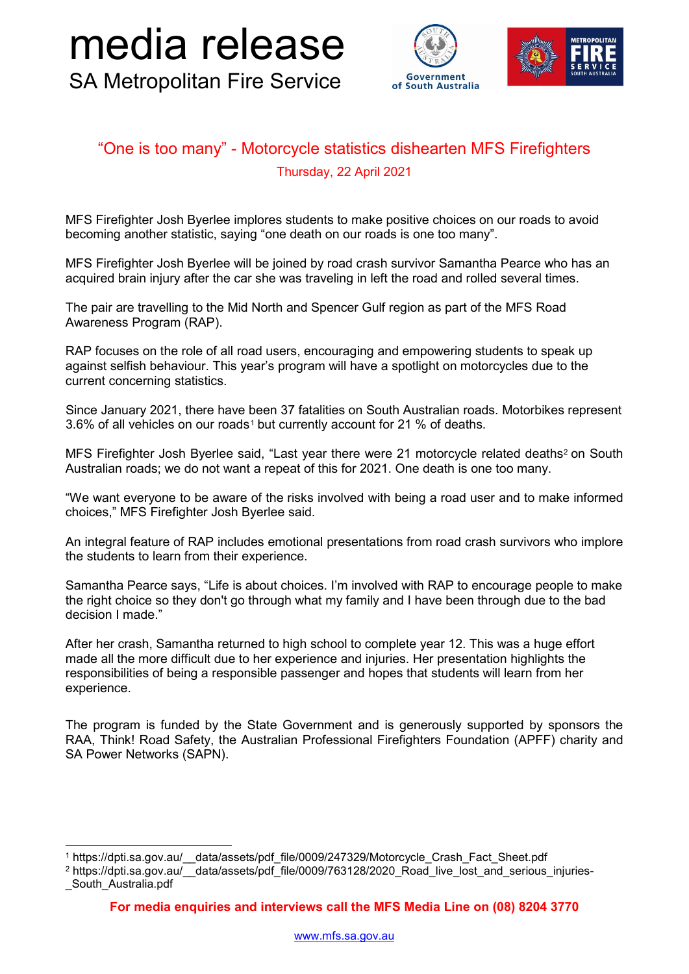## SA Metropolitan Fire Service media release



## "One is too many" - Motorcycle statistics dishearten MFS Firefighters Thursday, 22 April 2021

MFS Firefighter Josh Byerlee implores students to make positive choices on our roads to avoid becoming another statistic, saying "one death on our roads is one too many".

MFS Firefighter Josh Byerlee will be joined by road crash survivor Samantha Pearce who has an acquired brain injury after the car she was traveling in left the road and rolled several times.

The pair are travelling to the Mid North and Spencer Gulf region as part of the MFS Road Awareness Program (RAP).

RAP focuses on the role of all road users, encouraging and empowering students to speak up against selfish behaviour. This year's program will have a spotlight on motorcycles due to the current concerning statistics.

Since January 2021, there have been 37 fatalities on South Australian roads. Motorbikes represent 3.6% of all vehicles on our roads[1](#page-0-0) but currently account for 21 % of deaths.

MFS Firefighter Josh Byerlee said, "Last year there were [2](#page-0-1)1 motorcycle related deaths<sup>2</sup> on South Australian roads; we do not want a repeat of this for 2021. One death is one too many.

"We want everyone to be aware of the risks involved with being a road user and to make informed choices," MFS Firefighter Josh Byerlee said.

An integral feature of RAP includes emotional presentations from road crash survivors who implore the students to learn from their experience.

Samantha Pearce says, "Life is about choices. I'm involved with RAP to encourage people to make the right choice so they don't go through what my family and I have been through due to the bad decision I made."

After her crash, Samantha returned to high school to complete year 12. This was a huge effort made all the more difficult due to her experience and injuries. Her presentation highlights the responsibilities of being a responsible passenger and hopes that students will learn from her experience.

The program is funded by the State Government and is generously supported by sponsors the RAA, Think! Road Safety, the Australian Professional Firefighters Foundation (APFF) charity and SA Power Networks (SAPN).

<span id="page-0-0"></span> <sup>1</sup> https://dpti.sa.gov.au/\_\_data/assets/pdf\_file/0009/247329/Motorcycle\_Crash\_Fact\_Sheet.pdf

<span id="page-0-1"></span><sup>&</sup>lt;sup>2</sup> https://dpti.sa.gov.au/ data/assets/pdf\_file/0009/763128/2020\_Road\_live\_lost\_and\_serious\_injuries-South Australia.pdf